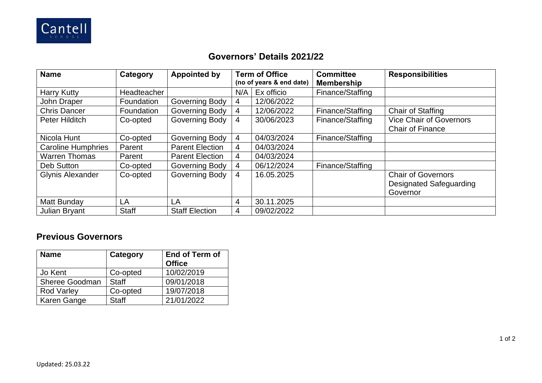

## **Governors' Details 2021/22**

| <b>Name</b>               | Category           | <b>Appointed by</b>    | <b>Term of Office</b><br>(no of years & end date) |            | <b>Committee</b><br><b>Membership</b> | <b>Responsibilities</b>        |  |
|---------------------------|--------------------|------------------------|---------------------------------------------------|------------|---------------------------------------|--------------------------------|--|
| <b>Harry Kutty</b>        | <b>Headteacher</b> |                        | N/A                                               | Ex officio | Finance/Staffing                      |                                |  |
| John Draper               | Foundation         | Governing Body         | 4                                                 | 12/06/2022 |                                       |                                |  |
| <b>Chris Dancer</b>       | Foundation         | Governing Body         | $\overline{4}$                                    | 12/06/2022 | Finance/Staffing                      | <b>Chair of Staffing</b>       |  |
| Peter Hilditch            | Co-opted           | Governing Body         | 4                                                 | 30/06/2023 | Finance/Staffing                      | <b>Vice Chair of Governors</b> |  |
|                           |                    |                        |                                                   |            |                                       | <b>Chair of Finance</b>        |  |
| Nicola Hunt               | Co-opted           | <b>Governing Body</b>  | 4                                                 | 04/03/2024 | Finance/Staffing                      |                                |  |
| <b>Caroline Humphries</b> | Parent             | <b>Parent Election</b> | 4                                                 | 04/03/2024 |                                       |                                |  |
| <b>Warren Thomas</b>      | Parent             | <b>Parent Election</b> | 4                                                 | 04/03/2024 |                                       |                                |  |
| Deb Sutton                | Co-opted           | Governing Body         | 4                                                 | 06/12/2024 | Finance/Staffing                      |                                |  |
| <b>Glynis Alexander</b>   | Co-opted           | <b>Governing Body</b>  | 4                                                 | 16.05.2025 |                                       | <b>Chair of Governors</b>      |  |
|                           |                    |                        |                                                   |            |                                       | <b>Designated Safeguarding</b> |  |
|                           |                    |                        |                                                   |            |                                       | Governor                       |  |
| Matt Bunday               | LA                 | LA                     | 4                                                 | 30.11.2025 |                                       |                                |  |
| <b>Julian Bryant</b>      | <b>Staff</b>       | <b>Staff Election</b>  | 4                                                 | 09/02/2022 |                                       |                                |  |

## **Previous Governors**

| <b>Name</b>           | Category     | <b>End of Term of</b><br><b>Office</b> |  |  |
|-----------------------|--------------|----------------------------------------|--|--|
| Jo Kent               | Co-opted     | 10/02/2019                             |  |  |
| <b>Sheree Goodman</b> | <b>Staff</b> | 09/01/2018                             |  |  |
| <b>Rod Varley</b>     | Co-opted     | 19/07/2018                             |  |  |
| Karen Gange           | <b>Staff</b> | 21/01/2022                             |  |  |